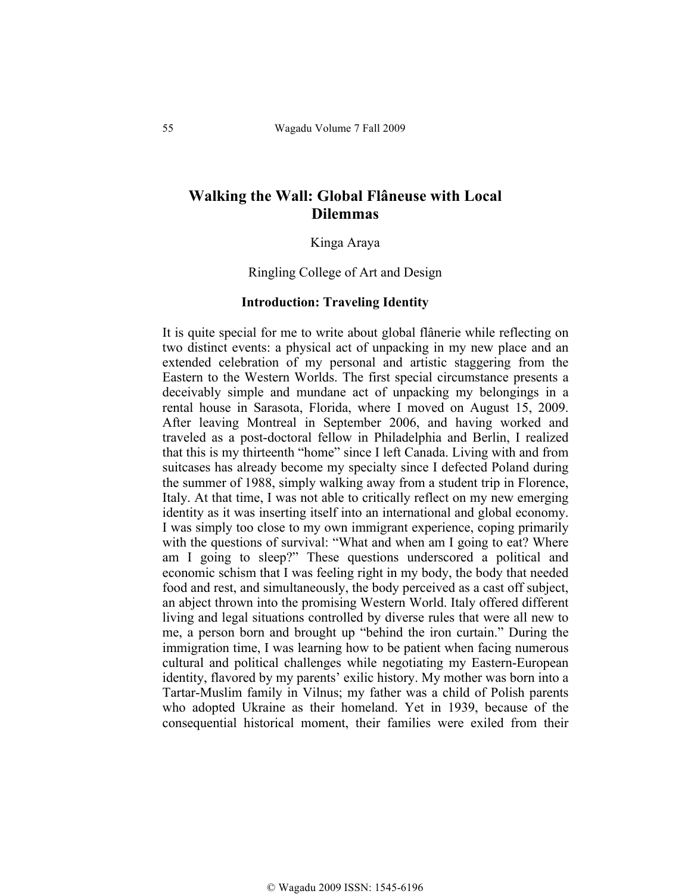# **Walking the Wall: Global Flâneuse with Local Dilemmas**

Kinga Araya

Ringling College of Art and Design

#### **Introduction: Traveling Identity**

It is quite special for me to write about global flânerie while reflecting on two distinct events: a physical act of unpacking in my new place and an extended celebration of my personal and artistic staggering from the Eastern to the Western Worlds. The first special circumstance presents a deceivably simple and mundane act of unpacking my belongings in a rental house in Sarasota, Florida, where I moved on August 15, 2009. After leaving Montreal in September 2006, and having worked and traveled as a post-doctoral fellow in Philadelphia and Berlin, I realized that this is my thirteenth "home" since I left Canada. Living with and from suitcases has already become my specialty since I defected Poland during the summer of 1988, simply walking away from a student trip in Florence, Italy. At that time, I was not able to critically reflect on my new emerging identity as it was inserting itself into an international and global economy. I was simply too close to my own immigrant experience, coping primarily with the questions of survival: "What and when am I going to eat? Where am I going to sleep?" These questions underscored a political and economic schism that I was feeling right in my body, the body that needed food and rest, and simultaneously, the body perceived as a cast off subject, an abject thrown into the promising Western World. Italy offered different living and legal situations controlled by diverse rules that were all new to me, a person born and brought up "behind the iron curtain." During the immigration time, I was learning how to be patient when facing numerous cultural and political challenges while negotiating my Eastern-European identity, flavored by my parents' exilic history. My mother was born into a Tartar-Muslim family in Vilnus; my father was a child of Polish parents who adopted Ukraine as their homeland. Yet in 1939, because of the consequential historical moment, their families were exiled from their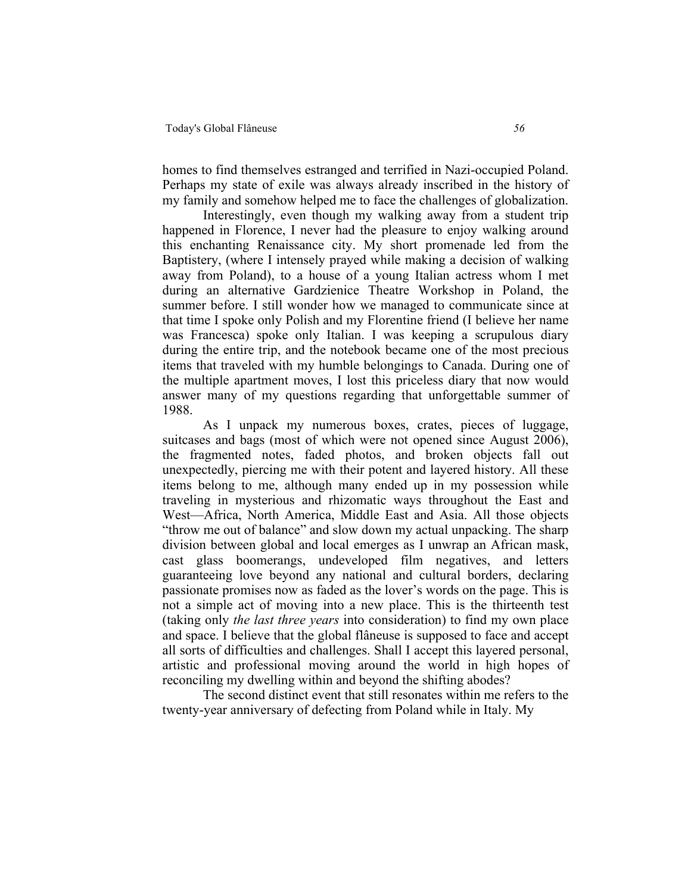homes to find themselves estranged and terrified in Nazi-occupied Poland. Perhaps my state of exile was always already inscribed in the history of my family and somehow helped me to face the challenges of globalization.

Interestingly, even though my walking away from a student trip happened in Florence, I never had the pleasure to enjoy walking around this enchanting Renaissance city. My short promenade led from the Baptistery, (where I intensely prayed while making a decision of walking away from Poland), to a house of a young Italian actress whom I met during an alternative Gardzienice Theatre Workshop in Poland, the summer before. I still wonder how we managed to communicate since at that time I spoke only Polish and my Florentine friend (I believe her name was Francesca) spoke only Italian. I was keeping a scrupulous diary during the entire trip, and the notebook became one of the most precious items that traveled with my humble belongings to Canada. During one of the multiple apartment moves, I lost this priceless diary that now would answer many of my questions regarding that unforgettable summer of 1988.

As I unpack my numerous boxes, crates, pieces of luggage, suitcases and bags (most of which were not opened since August 2006), the fragmented notes, faded photos, and broken objects fall out unexpectedly, piercing me with their potent and layered history. All these items belong to me, although many ended up in my possession while traveling in mysterious and rhizomatic ways throughout the East and West—Africa, North America, Middle East and Asia. All those objects "throw me out of balance" and slow down my actual unpacking. The sharp division between global and local emerges as I unwrap an African mask, cast glass boomerangs, undeveloped film negatives, and letters guaranteeing love beyond any national and cultural borders, declaring passionate promises now as faded as the lover's words on the page. This is not a simple act of moving into a new place. This is the thirteenth test (taking only *the last three years* into consideration) to find my own place and space. I believe that the global flâneuse is supposed to face and accept all sorts of difficulties and challenges. Shall I accept this layered personal, artistic and professional moving around the world in high hopes of reconciling my dwelling within and beyond the shifting abodes?

The second distinct event that still resonates within me refers to the twenty-year anniversary of defecting from Poland while in Italy. My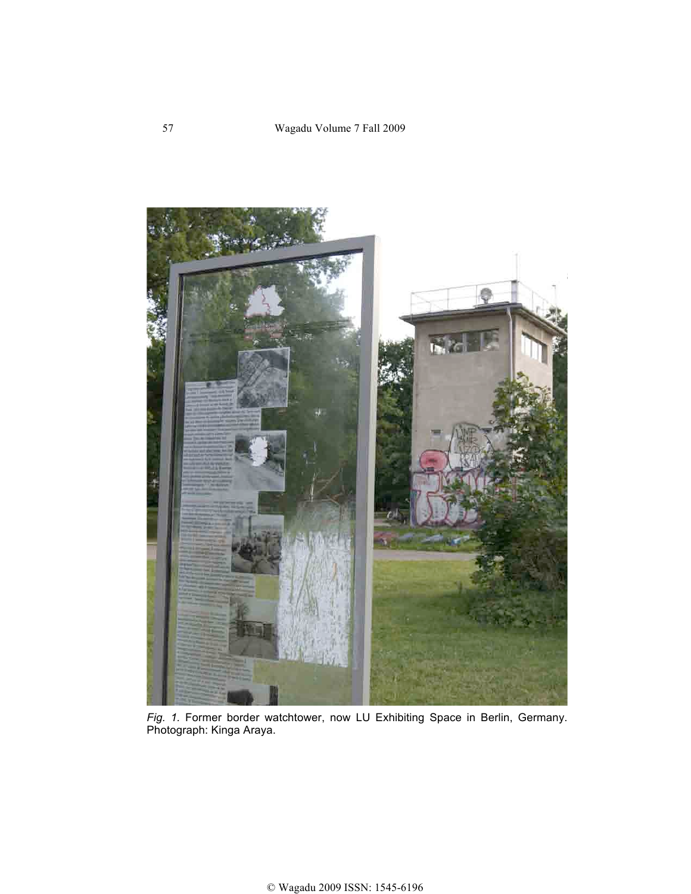

*Fig. 1.* Former border watchtower, now LU Exhibiting Space in Berlin, Germany. Photograph: Kinga Araya.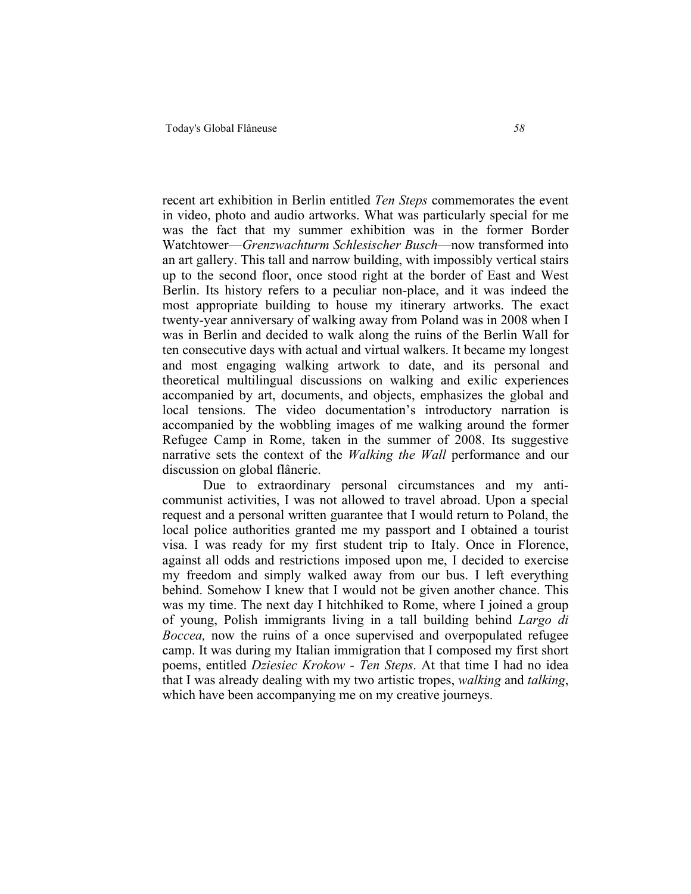recent art exhibition in Berlin entitled *Ten Steps* commemorates the event in video, photo and audio artworks. What was particularly special for me was the fact that my summer exhibition was in the former Border Watchtower—*Grenzwachturm Schlesischer Busch*—now transformed into an art gallery. This tall and narrow building, with impossibly vertical stairs up to the second floor, once stood right at the border of East and West Berlin. Its history refers to a peculiar non-place, and it was indeed the most appropriate building to house my itinerary artworks. The exact twenty-year anniversary of walking away from Poland was in 2008 when I was in Berlin and decided to walk along the ruins of the Berlin Wall for ten consecutive days with actual and virtual walkers. It became my longest and most engaging walking artwork to date, and its personal and theoretical multilingual discussions on walking and exilic experiences accompanied by art, documents, and objects, emphasizes the global and local tensions. The video documentation's introductory narration is accompanied by the wobbling images of me walking around the former Refugee Camp in Rome, taken in the summer of 2008. Its suggestive narrative sets the context of the *Walking the Wall* performance and our discussion on global flânerie.

Due to extraordinary personal circumstances and my anticommunist activities, I was not allowed to travel abroad. Upon a special request and a personal written guarantee that I would return to Poland, the local police authorities granted me my passport and I obtained a tourist visa. I was ready for my first student trip to Italy. Once in Florence, against all odds and restrictions imposed upon me, I decided to exercise my freedom and simply walked away from our bus. I left everything behind. Somehow I knew that I would not be given another chance. This was my time. The next day I hitchhiked to Rome, where I joined a group of young, Polish immigrants living in a tall building behind *Largo di Boccea,* now the ruins of a once supervised and overpopulated refugee camp. It was during my Italian immigration that I composed my first short poems, entitled *Dziesiec Krokow - Ten Steps*. At that time I had no idea that I was already dealing with my two artistic tropes, *walking* and *talking*, which have been accompanying me on my creative journeys.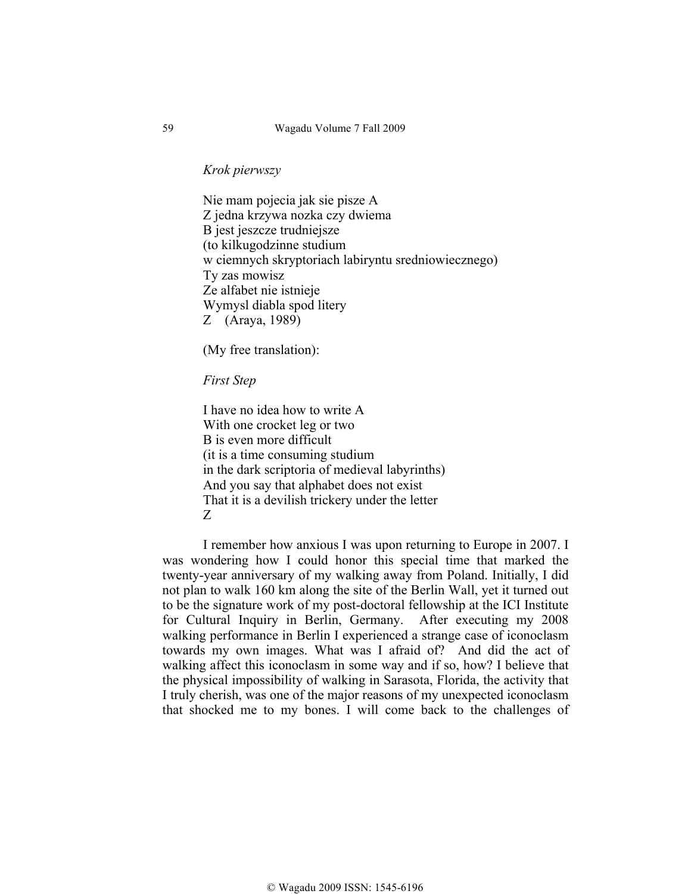*Krok pierwszy*

Nie mam pojecia jak sie pisze A Z jedna krzywa nozka czy dwiema B jest jeszcze trudniejsze (to kilkugodzinne studium w ciemnych skryptoriach labiryntu sredniowiecznego) Ty zas mowisz Ze alfabet nie istnieje Wymysl diabla spod litery Z (Araya, 1989)

(My free translation):

*First Step* 

I have no idea how to write A With one crocket leg or two B is even more difficult (it is a time consuming studium in the dark scriptoria of medieval labyrinths) And you say that alphabet does not exist That it is a devilish trickery under the letter Z

I remember how anxious I was upon returning to Europe in 2007. I was wondering how I could honor this special time that marked the twenty-year anniversary of my walking away from Poland. Initially, I did not plan to walk 160 km along the site of the Berlin Wall, yet it turned out to be the signature work of my post-doctoral fellowship at the ICI Institute for Cultural Inquiry in Berlin, Germany. After executing my 2008 walking performance in Berlin I experienced a strange case of iconoclasm towards my own images. What was I afraid of? And did the act of walking affect this iconoclasm in some way and if so, how? I believe that the physical impossibility of walking in Sarasota, Florida, the activity that I truly cherish, was one of the major reasons of my unexpected iconoclasm that shocked me to my bones. I will come back to the challenges of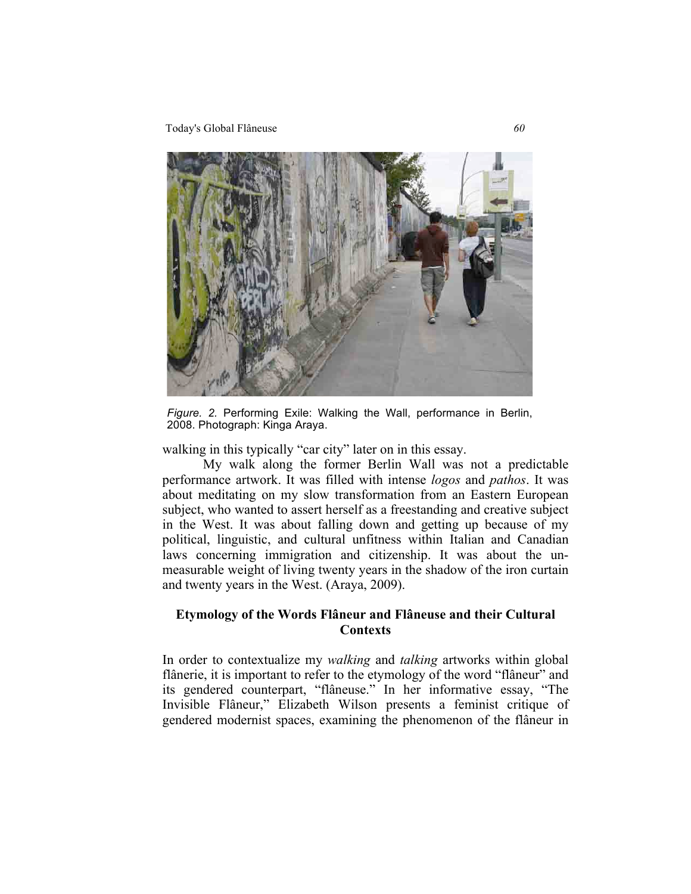Today's Global Flâneuse *60*



*Figure. 2.* Performing Exile: Walking the Wall, performance in Berlin, 2008. Photograph: Kinga Araya.

walking in this typically "car city" later on in this essay.

My walk along the former Berlin Wall was not a predictable performance artwork. It was filled with intense *logos* and *pathos*. It was about meditating on my slow transformation from an Eastern European subject, who wanted to assert herself as a freestanding and creative subject in the West. It was about falling down and getting up because of my political, linguistic, and cultural unfitness within Italian and Canadian laws concerning immigration and citizenship. It was about the unmeasurable weight of living twenty years in the shadow of the iron curtain and twenty years in the West. (Araya, 2009).

# **Etymology of the Words Flâneur and Flâneuse and their Cultural Contexts**

In order to contextualize my *walking* and *talking* artworks within global flânerie, it is important to refer to the etymology of the word "flâneur" and its gendered counterpart, "flâneuse." In her informative essay, "The Invisible Flâneur," Elizabeth Wilson presents a feminist critique of gendered modernist spaces, examining the phenomenon of the flâneur in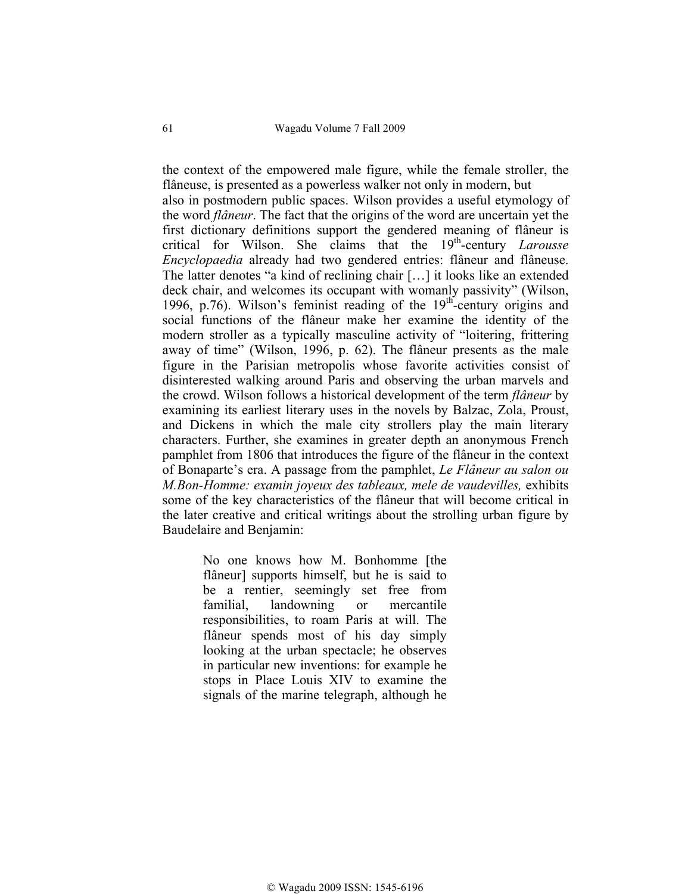the context of the empowered male figure, while the female stroller, the flâneuse, is presented as a powerless walker not only in modern, but also in postmodern public spaces. Wilson provides a useful etymology of the word *flâneur*. The fact that the origins of the word are uncertain yet the first dictionary definitions support the gendered meaning of flâneur is critical for Wilson. She claims that the 19th-century *Larousse Encyclopaedia* already had two gendered entries: flâneur and flâneuse. The latter denotes "a kind of reclining chair […] it looks like an extended deck chair, and welcomes its occupant with womanly passivity" (Wilson, 1996, p.76). Wilson's feminist reading of the  $19<sup>th</sup>$ -century origins and social functions of the flâneur make her examine the identity of the modern stroller as a typically masculine activity of "loitering, frittering away of time" (Wilson, 1996, p. 62). The flâneur presents as the male figure in the Parisian metropolis whose favorite activities consist of disinterested walking around Paris and observing the urban marvels and the crowd. Wilson follows a historical development of the term *flâneur* by examining its earliest literary uses in the novels by Balzac, Zola, Proust, and Dickens in which the male city strollers play the main literary characters. Further, she examines in greater depth an anonymous French pamphlet from 1806 that introduces the figure of the flâneur in the context of Bonaparte's era. A passage from the pamphlet, *Le Flâneur au salon ou M.Bon-Homme: examin joyeux des tableaux, mele de vaudevilles,* exhibits some of the key characteristics of the flâneur that will become critical in the later creative and critical writings about the strolling urban figure by Baudelaire and Benjamin:

> No one knows how M. Bonhomme [the flâneur] supports himself, but he is said to be a rentier, seemingly set free from familial, landowning or mercantile responsibilities, to roam Paris at will. The flâneur spends most of his day simply looking at the urban spectacle; he observes in particular new inventions: for example he stops in Place Louis XIV to examine the signals of the marine telegraph, although he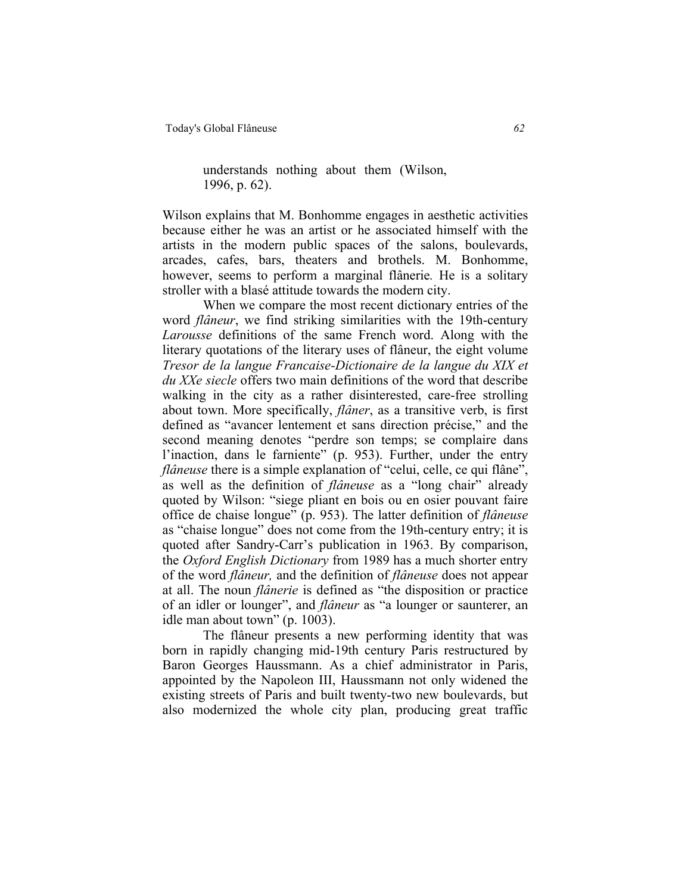### understands nothing about them (Wilson, 1996, p. 62).

Wilson explains that M. Bonhomme engages in aesthetic activities because either he was an artist or he associated himself with the artists in the modern public spaces of the salons, boulevards, arcades, cafes, bars, theaters and brothels. M. Bonhomme, however, seems to perform a marginal flânerie*.* He is a solitary stroller with a blasé attitude towards the modern city.

When we compare the most recent dictionary entries of the word *flâneur*, we find striking similarities with the 19th-century *Larousse* definitions of the same French word. Along with the literary quotations of the literary uses of flâneur, the eight volume *Tresor de la langue Francaise-Dictionaire de la langue du XIX et du XXe siecle* offers two main definitions of the word that describe walking in the city as a rather disinterested, care-free strolling about town. More specifically, *flâner*, as a transitive verb, is first defined as "avancer lentement et sans direction précise," and the second meaning denotes "perdre son temps; se complaire dans l'inaction, dans le farniente" (p. 953). Further, under the entry *flâneuse* there is a simple explanation of "celui, celle, ce qui flâne", as well as the definition of *flâneuse* as a "long chair" already quoted by Wilson: "siege pliant en bois ou en osier pouvant faire office de chaise longue" (p. 953). The latter definition of *flâneuse*  as "chaise longue" does not come from the 19th-century entry; it is quoted after Sandry-Carr's publication in 1963. By comparison, the *Oxford English Dictionary* from 1989 has a much shorter entry of the word *flâneur,* and the definition of *flâneuse* does not appear at all. The noun *flânerie* is defined as "the disposition or practice of an idler or lounger", and *flâneur* as "a lounger or saunterer, an idle man about town" (p. 1003).

The flâneur presents a new performing identity that was born in rapidly changing mid-19th century Paris restructured by Baron Georges Haussmann. As a chief administrator in Paris, appointed by the Napoleon III, Haussmann not only widened the existing streets of Paris and built twenty-two new boulevards, but also modernized the whole city plan, producing great traffic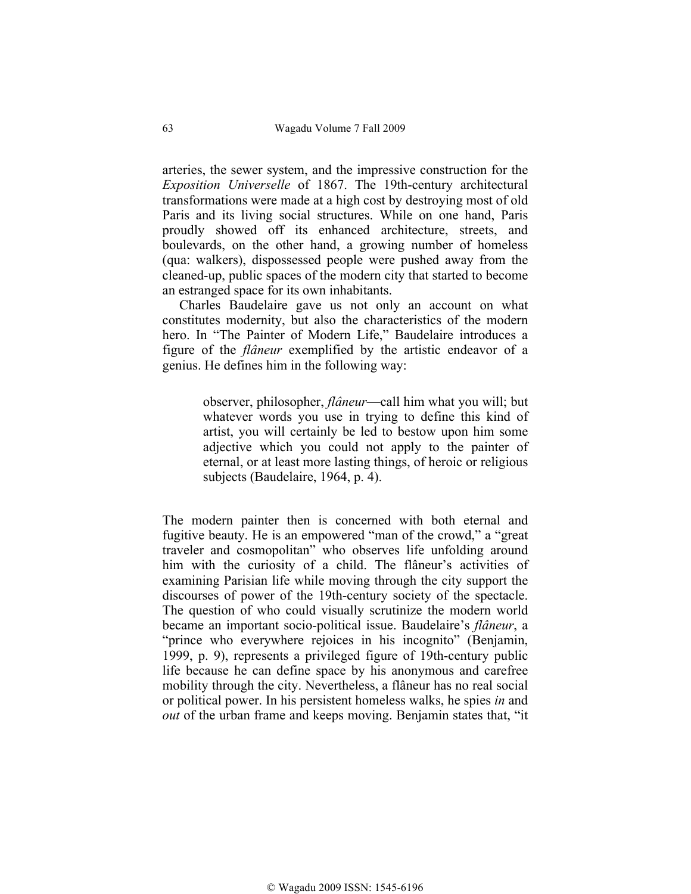arteries, the sewer system, and the impressive construction for the *Exposition Universelle* of 1867. The 19th-century architectural transformations were made at a high cost by destroying most of old Paris and its living social structures. While on one hand, Paris proudly showed off its enhanced architecture, streets, and boulevards, on the other hand, a growing number of homeless (qua: walkers), dispossessed people were pushed away from the cleaned-up, public spaces of the modern city that started to become an estranged space for its own inhabitants.

 Charles Baudelaire gave us not only an account on what constitutes modernity, but also the characteristics of the modern hero. In "The Painter of Modern Life," Baudelaire introduces a figure of the *flâneur* exemplified by the artistic endeavor of a genius. He defines him in the following way:

> observer, philosopher, *flâneur*—call him what you will; but whatever words you use in trying to define this kind of artist, you will certainly be led to bestow upon him some adjective which you could not apply to the painter of eternal, or at least more lasting things, of heroic or religious subjects (Baudelaire, 1964, p. 4).

The modern painter then is concerned with both eternal and fugitive beauty. He is an empowered "man of the crowd," a "great traveler and cosmopolitan" who observes life unfolding around him with the curiosity of a child. The flâneur's activities of examining Parisian life while moving through the city support the discourses of power of the 19th-century society of the spectacle. The question of who could visually scrutinize the modern world became an important socio-political issue. Baudelaire's *flâneur*, a "prince who everywhere rejoices in his incognito" (Benjamin, 1999, p. 9), represents a privileged figure of 19th-century public life because he can define space by his anonymous and carefree mobility through the city. Nevertheless, a flâneur has no real social or political power. In his persistent homeless walks, he spies *in* and *out* of the urban frame and keeps moving. Benjamin states that, "it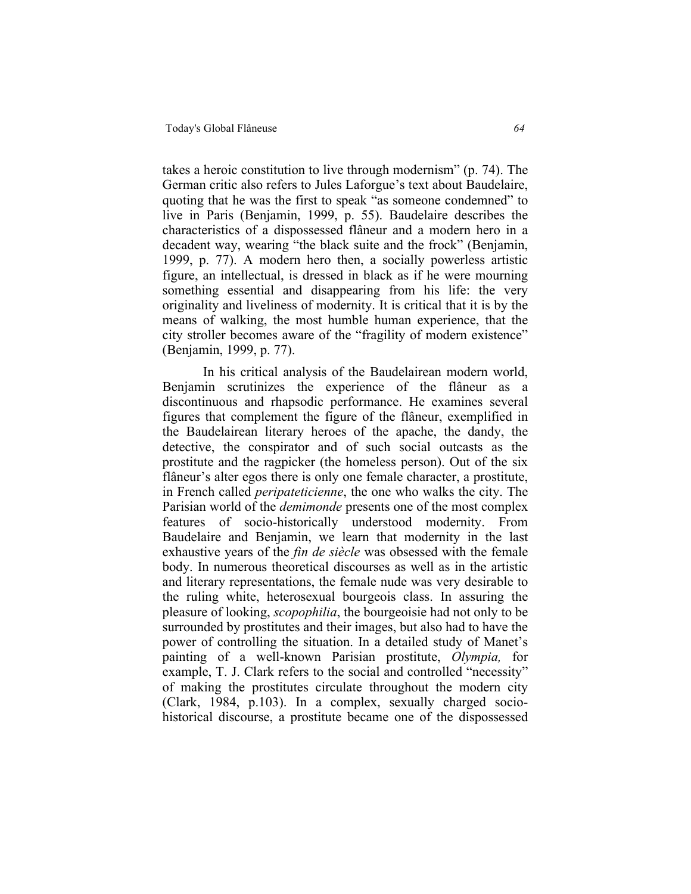takes a heroic constitution to live through modernism" (p. 74). The German critic also refers to Jules Laforgue's text about Baudelaire, quoting that he was the first to speak "as someone condemned" to live in Paris (Benjamin, 1999, p. 55). Baudelaire describes the characteristics of a dispossessed flâneur and a modern hero in a decadent way, wearing "the black suite and the frock" (Benjamin, 1999, p. 77). A modern hero then, a socially powerless artistic figure, an intellectual, is dressed in black as if he were mourning something essential and disappearing from his life: the very originality and liveliness of modernity. It is critical that it is by the means of walking, the most humble human experience, that the city stroller becomes aware of the "fragility of modern existence" (Benjamin, 1999, p. 77).

In his critical analysis of the Baudelairean modern world, Benjamin scrutinizes the experience of the flâneur as a discontinuous and rhapsodic performance. He examines several figures that complement the figure of the flâneur, exemplified in the Baudelairean literary heroes of the apache, the dandy, the detective, the conspirator and of such social outcasts as the prostitute and the ragpicker (the homeless person). Out of the six flâneur's alter egos there is only one female character, a prostitute, in French called *peripateticienne*, the one who walks the city. The Parisian world of the *demimonde* presents one of the most complex features of socio-historically understood modernity. From Baudelaire and Benjamin, we learn that modernity in the last exhaustive years of the *fin de siècle* was obsessed with the female body. In numerous theoretical discourses as well as in the artistic and literary representations, the female nude was very desirable to the ruling white, heterosexual bourgeois class. In assuring the pleasure of looking, *scopophilia*, the bourgeoisie had not only to be surrounded by prostitutes and their images, but also had to have the power of controlling the situation. In a detailed study of Manet's painting of a well-known Parisian prostitute, *Olympia,* for example, T. J. Clark refers to the social and controlled "necessity" of making the prostitutes circulate throughout the modern city (Clark, 1984, p.103). In a complex, sexually charged sociohistorical discourse, a prostitute became one of the dispossessed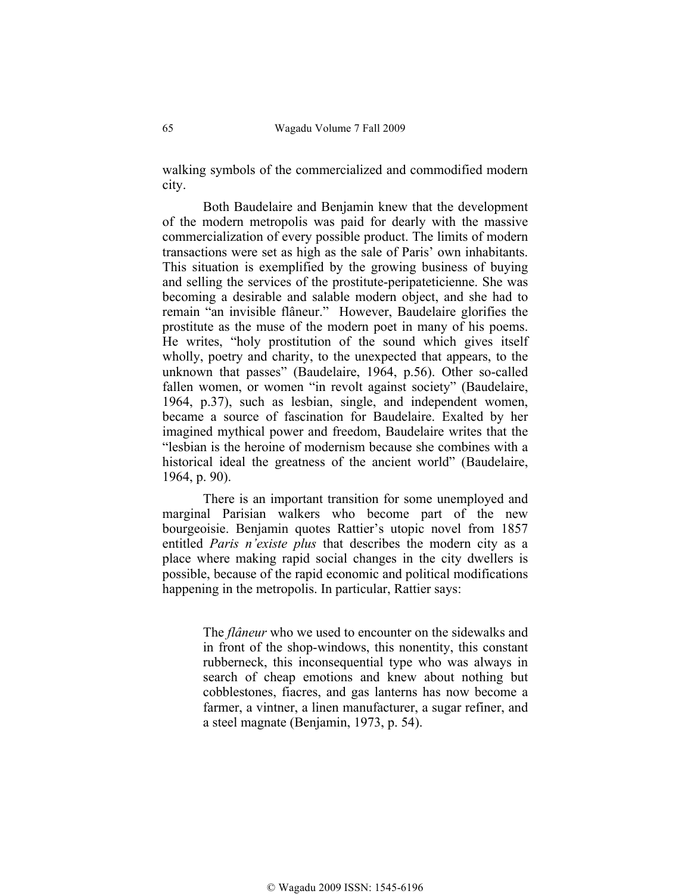walking symbols of the commercialized and commodified modern city.

Both Baudelaire and Benjamin knew that the development of the modern metropolis was paid for dearly with the massive commercialization of every possible product. The limits of modern transactions were set as high as the sale of Paris' own inhabitants. This situation is exemplified by the growing business of buying and selling the services of the prostitute-peripateticienne. She was becoming a desirable and salable modern object, and she had to remain "an invisible flâneur." However, Baudelaire glorifies the prostitute as the muse of the modern poet in many of his poems. He writes, "holy prostitution of the sound which gives itself wholly, poetry and charity, to the unexpected that appears, to the unknown that passes" (Baudelaire, 1964, p.56). Other so-called fallen women, or women "in revolt against society" (Baudelaire, 1964, p.37), such as lesbian, single, and independent women, became a source of fascination for Baudelaire. Exalted by her imagined mythical power and freedom, Baudelaire writes that the "lesbian is the heroine of modernism because she combines with a historical ideal the greatness of the ancient world" (Baudelaire, 1964, p. 90).

There is an important transition for some unemployed and marginal Parisian walkers who become part of the new bourgeoisie. Benjamin quotes Rattier's utopic novel from 1857 entitled *Paris n'existe plus* that describes the modern city as a place where making rapid social changes in the city dwellers is possible, because of the rapid economic and political modifications happening in the metropolis. In particular, Rattier says:

> The *flâneur* who we used to encounter on the sidewalks and in front of the shop-windows, this nonentity, this constant rubberneck, this inconsequential type who was always in search of cheap emotions and knew about nothing but cobblestones, fiacres, and gas lanterns has now become a farmer, a vintner, a linen manufacturer, a sugar refiner, and a steel magnate (Benjamin, 1973, p. 54).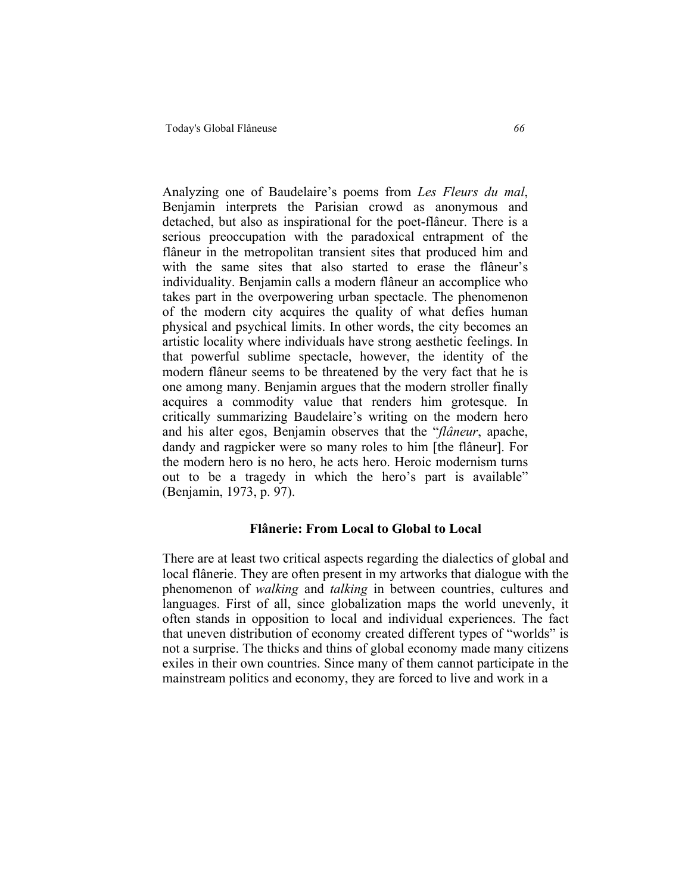Analyzing one of Baudelaire's poems from *Les Fleurs du mal*, Benjamin interprets the Parisian crowd as anonymous and detached, but also as inspirational for the poet-flâneur. There is a serious preoccupation with the paradoxical entrapment of the flâneur in the metropolitan transient sites that produced him and with the same sites that also started to erase the flâneur's individuality. Benjamin calls a modern flâneur an accomplice who takes part in the overpowering urban spectacle. The phenomenon of the modern city acquires the quality of what defies human physical and psychical limits. In other words, the city becomes an artistic locality where individuals have strong aesthetic feelings. In that powerful sublime spectacle, however, the identity of the modern flâneur seems to be threatened by the very fact that he is one among many. Benjamin argues that the modern stroller finally acquires a commodity value that renders him grotesque. In critically summarizing Baudelaire's writing on the modern hero and his alter egos, Benjamin observes that the "*flâneur*, apache, dandy and ragpicker were so many roles to him [the flâneur]. For the modern hero is no hero, he acts hero. Heroic modernism turns out to be a tragedy in which the hero's part is available" (Benjamin, 1973, p. 97).

### **Flânerie: From Local to Global to Local**

There are at least two critical aspects regarding the dialectics of global and local flânerie. They are often present in my artworks that dialogue with the phenomenon of *walking* and *talking* in between countries, cultures and languages. First of all, since globalization maps the world unevenly, it often stands in opposition to local and individual experiences. The fact that uneven distribution of economy created different types of "worlds" is not a surprise. The thicks and thins of global economy made many citizens exiles in their own countries. Since many of them cannot participate in the mainstream politics and economy, they are forced to live and work in a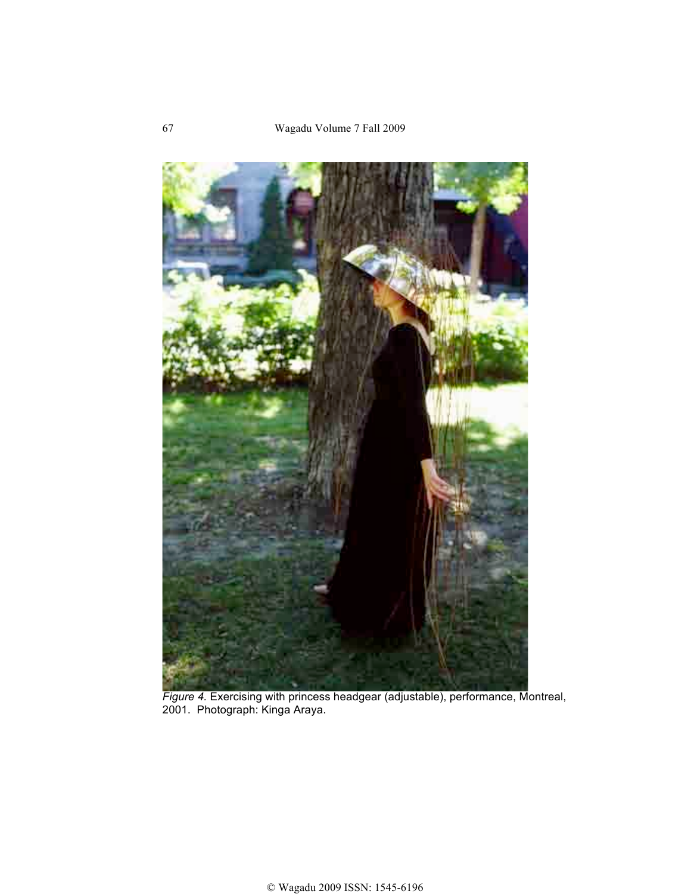

*Figure 4.* Exercising with princess headgear (adjustable), performance, Montreal, 2001. Photograph: Kinga Araya.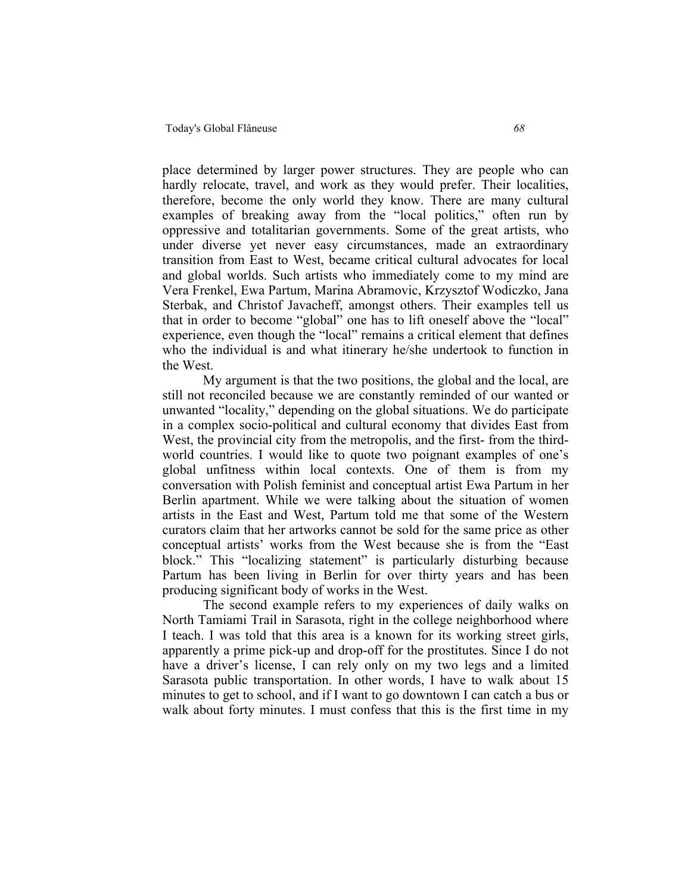place determined by larger power structures. They are people who can hardly relocate, travel, and work as they would prefer. Their localities, therefore, become the only world they know. There are many cultural examples of breaking away from the "local politics," often run by oppressive and totalitarian governments. Some of the great artists, who under diverse yet never easy circumstances, made an extraordinary transition from East to West, became critical cultural advocates for local and global worlds. Such artists who immediately come to my mind are Vera Frenkel, Ewa Partum, Marina Abramovic, Krzysztof Wodiczko, Jana Sterbak, and Christof Javacheff, amongst others. Their examples tell us that in order to become "global" one has to lift oneself above the "local" experience, even though the "local" remains a critical element that defines who the individual is and what itinerary he/she undertook to function in the West.

My argument is that the two positions, the global and the local, are still not reconciled because we are constantly reminded of our wanted or unwanted "locality," depending on the global situations. We do participate in a complex socio-political and cultural economy that divides East from West, the provincial city from the metropolis, and the first- from the thirdworld countries. I would like to quote two poignant examples of one's global unfitness within local contexts. One of them is from my conversation with Polish feminist and conceptual artist Ewa Partum in her Berlin apartment. While we were talking about the situation of women artists in the East and West, Partum told me that some of the Western curators claim that her artworks cannot be sold for the same price as other conceptual artists' works from the West because she is from the "East block." This "localizing statement" is particularly disturbing because Partum has been living in Berlin for over thirty years and has been producing significant body of works in the West.

The second example refers to my experiences of daily walks on North Tamiami Trail in Sarasota, right in the college neighborhood where I teach. I was told that this area is a known for its working street girls, apparently a prime pick-up and drop-off for the prostitutes. Since I do not have a driver's license, I can rely only on my two legs and a limited Sarasota public transportation. In other words, I have to walk about 15 minutes to get to school, and if I want to go downtown I can catch a bus or walk about forty minutes. I must confess that this is the first time in my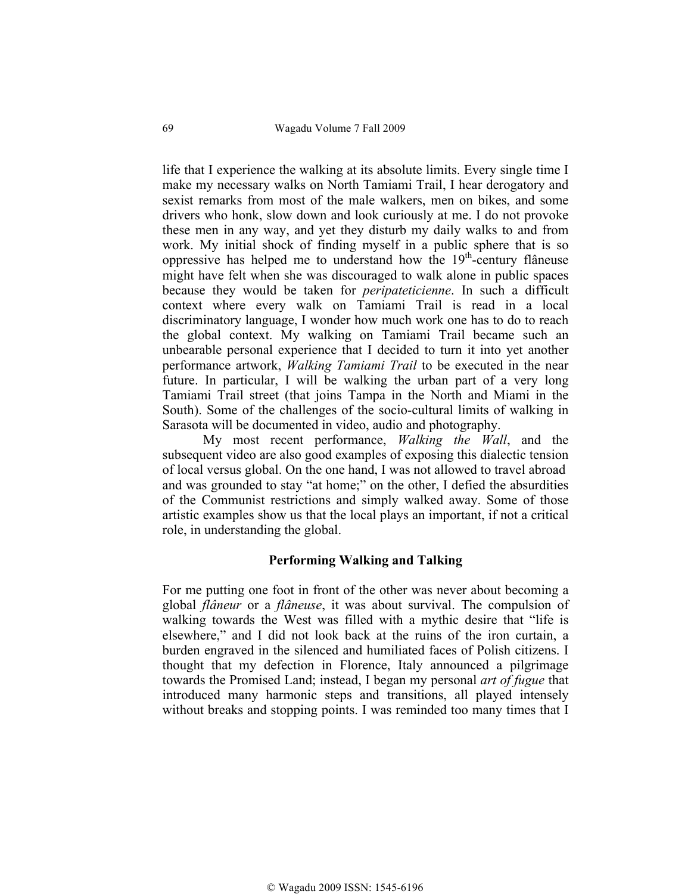life that I experience the walking at its absolute limits. Every single time I make my necessary walks on North Tamiami Trail, I hear derogatory and sexist remarks from most of the male walkers, men on bikes, and some drivers who honk, slow down and look curiously at me. I do not provoke these men in any way, and yet they disturb my daily walks to and from work. My initial shock of finding myself in a public sphere that is so oppressive has helped me to understand how the  $19<sup>th</sup>$ -century flâneuse might have felt when she was discouraged to walk alone in public spaces because they would be taken for *peripateticienne*. In such a difficult context where every walk on Tamiami Trail is read in a local discriminatory language, I wonder how much work one has to do to reach the global context. My walking on Tamiami Trail became such an unbearable personal experience that I decided to turn it into yet another performance artwork, *Walking Tamiami Trail* to be executed in the near future. In particular, I will be walking the urban part of a very long Tamiami Trail street (that joins Tampa in the North and Miami in the South). Some of the challenges of the socio-cultural limits of walking in Sarasota will be documented in video, audio and photography.

My most recent performance, *Walking the Wall*, and the subsequent video are also good examples of exposing this dialectic tension of local versus global. On the one hand, I was not allowed to travel abroad and was grounded to stay "at home;" on the other, I defied the absurdities of the Communist restrictions and simply walked away. Some of those artistic examples show us that the local plays an important, if not a critical role, in understanding the global.

#### **Performing Walking and Talking**

For me putting one foot in front of the other was never about becoming a global *flâneur* or a *flâneuse*, it was about survival. The compulsion of walking towards the West was filled with a mythic desire that "life is elsewhere," and I did not look back at the ruins of the iron curtain, a burden engraved in the silenced and humiliated faces of Polish citizens. I thought that my defection in Florence, Italy announced a pilgrimage towards the Promised Land; instead, I began my personal *art of fugue* that introduced many harmonic steps and transitions, all played intensely without breaks and stopping points. I was reminded too many times that I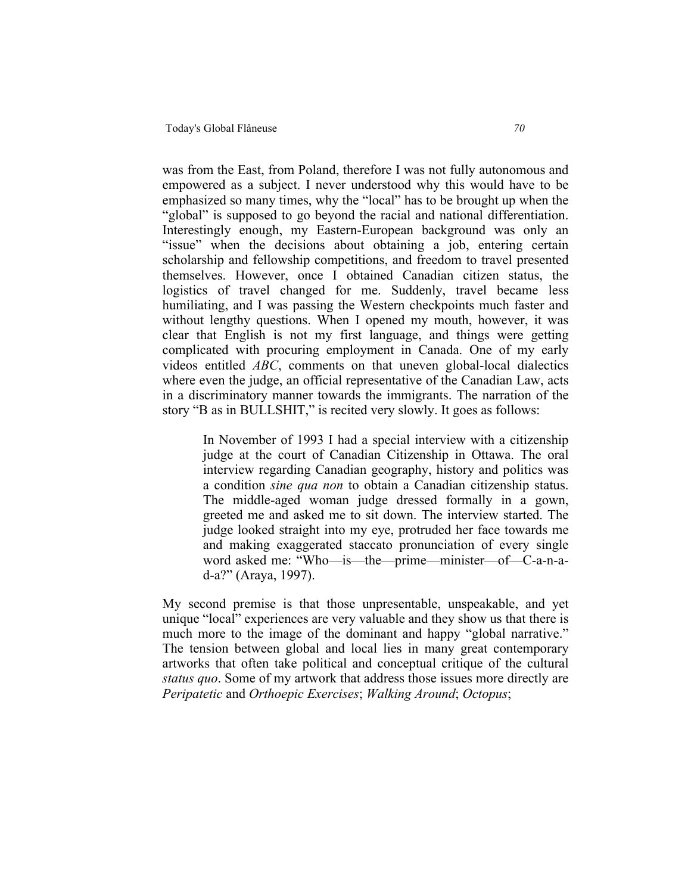was from the East, from Poland, therefore I was not fully autonomous and empowered as a subject. I never understood why this would have to be emphasized so many times, why the "local" has to be brought up when the "global" is supposed to go beyond the racial and national differentiation. Interestingly enough, my Eastern-European background was only an "issue" when the decisions about obtaining a job, entering certain scholarship and fellowship competitions, and freedom to travel presented themselves. However, once I obtained Canadian citizen status, the logistics of travel changed for me. Suddenly, travel became less humiliating, and I was passing the Western checkpoints much faster and without lengthy questions. When I opened my mouth, however, it was clear that English is not my first language, and things were getting complicated with procuring employment in Canada. One of my early videos entitled *ABC*, comments on that uneven global-local dialectics where even the judge, an official representative of the Canadian Law, acts in a discriminatory manner towards the immigrants. The narration of the story "B as in BULLSHIT," is recited very slowly. It goes as follows:

In November of 1993 I had a special interview with a citizenship judge at the court of Canadian Citizenship in Ottawa. The oral interview regarding Canadian geography, history and politics was a condition *sine qua non* to obtain a Canadian citizenship status. The middle-aged woman judge dressed formally in a gown, greeted me and asked me to sit down. The interview started. The judge looked straight into my eye, protruded her face towards me and making exaggerated staccato pronunciation of every single word asked me: "Who—is—the—prime—minister—of—C-a-n-ad-a?" (Araya, 1997).

My second premise is that those unpresentable, unspeakable, and yet unique "local" experiences are very valuable and they show us that there is much more to the image of the dominant and happy "global narrative." The tension between global and local lies in many great contemporary artworks that often take political and conceptual critique of the cultural *status quo*. Some of my artwork that address those issues more directly are *Peripatetic* and *Orthoepic Exercises*; *Walking Around*; *Octopus*;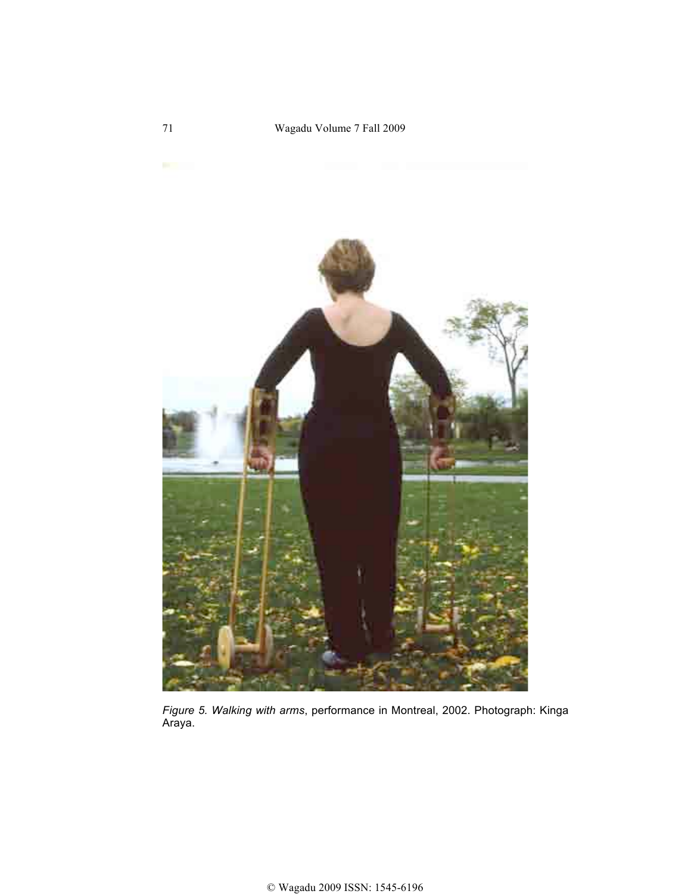

*Figure 5. Walking with arms*, performance in Montreal, 2002. Photograph: Kinga Araya.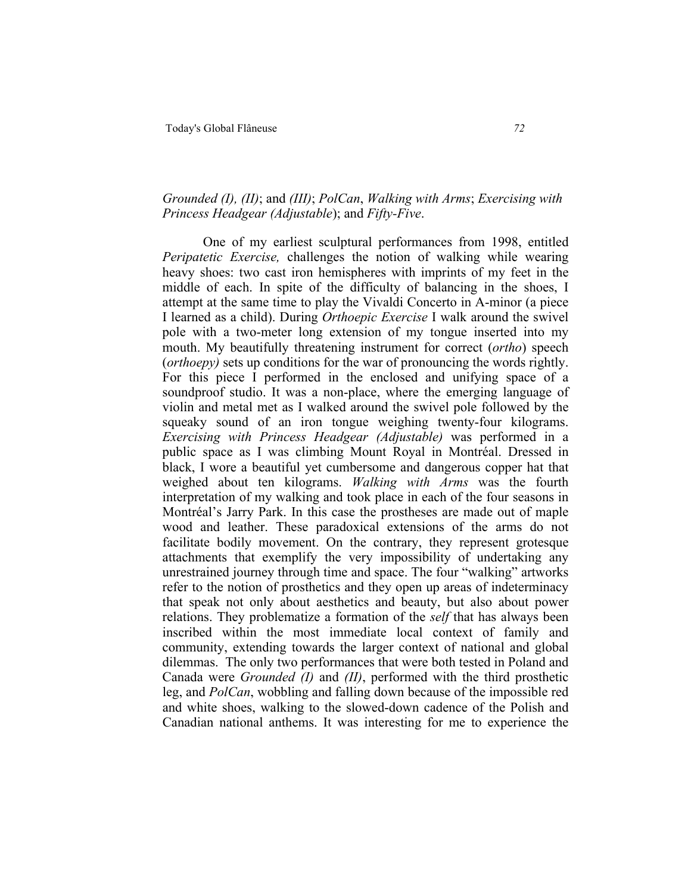# *Grounded (I), (II)*; and *(III)*; *PolCan*, *Walking with Arms*; *Exercising with Princess Headgear (Adjustable*); and *Fifty-Five*.

One of my earliest sculptural performances from 1998, entitled *Peripatetic Exercise,* challenges the notion of walking while wearing heavy shoes: two cast iron hemispheres with imprints of my feet in the middle of each. In spite of the difficulty of balancing in the shoes, I attempt at the same time to play the Vivaldi Concerto in A-minor (a piece I learned as a child). During *Orthoepic Exercise* I walk around the swivel pole with a two-meter long extension of my tongue inserted into my mouth. My beautifully threatening instrument for correct (*ortho*) speech (*orthoepy)* sets up conditions for the war of pronouncing the words rightly. For this piece I performed in the enclosed and unifying space of a soundproof studio. It was a non-place, where the emerging language of violin and metal met as I walked around the swivel pole followed by the squeaky sound of an iron tongue weighing twenty-four kilograms. *Exercising with Princess Headgear (Adjustable)* was performed in a public space as I was climbing Mount Royal in Montréal. Dressed in black, I wore a beautiful yet cumbersome and dangerous copper hat that weighed about ten kilograms. *Walking with Arms* was the fourth interpretation of my walking and took place in each of the four seasons in Montréal's Jarry Park. In this case the prostheses are made out of maple wood and leather. These paradoxical extensions of the arms do not facilitate bodily movement. On the contrary, they represent grotesque attachments that exemplify the very impossibility of undertaking any unrestrained journey through time and space. The four "walking" artworks refer to the notion of prosthetics and they open up areas of indeterminacy that speak not only about aesthetics and beauty, but also about power relations. They problematize a formation of the *self* that has always been inscribed within the most immediate local context of family and community, extending towards the larger context of national and global dilemmas. The only two performances that were both tested in Poland and Canada were *Grounded (I)* and *(II)*, performed with the third prosthetic leg, and *PolCan*, wobbling and falling down because of the impossible red and white shoes, walking to the slowed-down cadence of the Polish and Canadian national anthems. It was interesting for me to experience the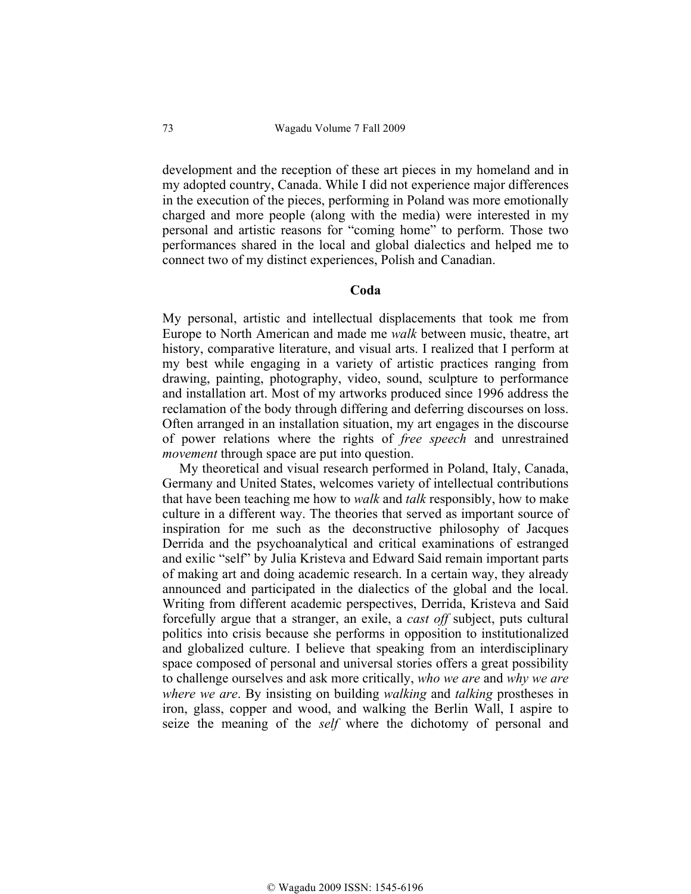development and the reception of these art pieces in my homeland and in my adopted country, Canada. While I did not experience major differences in the execution of the pieces, performing in Poland was more emotionally charged and more people (along with the media) were interested in my personal and artistic reasons for "coming home" to perform. Those two performances shared in the local and global dialectics and helped me to connect two of my distinct experiences, Polish and Canadian.

#### **Coda**

My personal, artistic and intellectual displacements that took me from Europe to North American and made me *walk* between music, theatre, art history, comparative literature, and visual arts. I realized that I perform at my best while engaging in a variety of artistic practices ranging from drawing, painting, photography, video, sound, sculpture to performance and installation art. Most of my artworks produced since 1996 address the reclamation of the body through differing and deferring discourses on loss. Often arranged in an installation situation, my art engages in the discourse of power relations where the rights of *free speech* and unrestrained *movement* through space are put into question.

 My theoretical and visual research performed in Poland, Italy, Canada, Germany and United States, welcomes variety of intellectual contributions that have been teaching me how to *walk* and *talk* responsibly, how to make culture in a different way. The theories that served as important source of inspiration for me such as the deconstructive philosophy of Jacques Derrida and the psychoanalytical and critical examinations of estranged and exilic "self" by Julia Kristeva and Edward Said remain important parts of making art and doing academic research. In a certain way, they already announced and participated in the dialectics of the global and the local. Writing from different academic perspectives, Derrida, Kristeva and Said forcefully argue that a stranger, an exile, a *cast off* subject, puts cultural politics into crisis because she performs in opposition to institutionalized and globalized culture. I believe that speaking from an interdisciplinary space composed of personal and universal stories offers a great possibility to challenge ourselves and ask more critically, *who we are* and *why we are where we are*. By insisting on building *walking* and *talking* prostheses in iron, glass, copper and wood, and walking the Berlin Wall, I aspire to seize the meaning of the *self* where the dichotomy of personal and